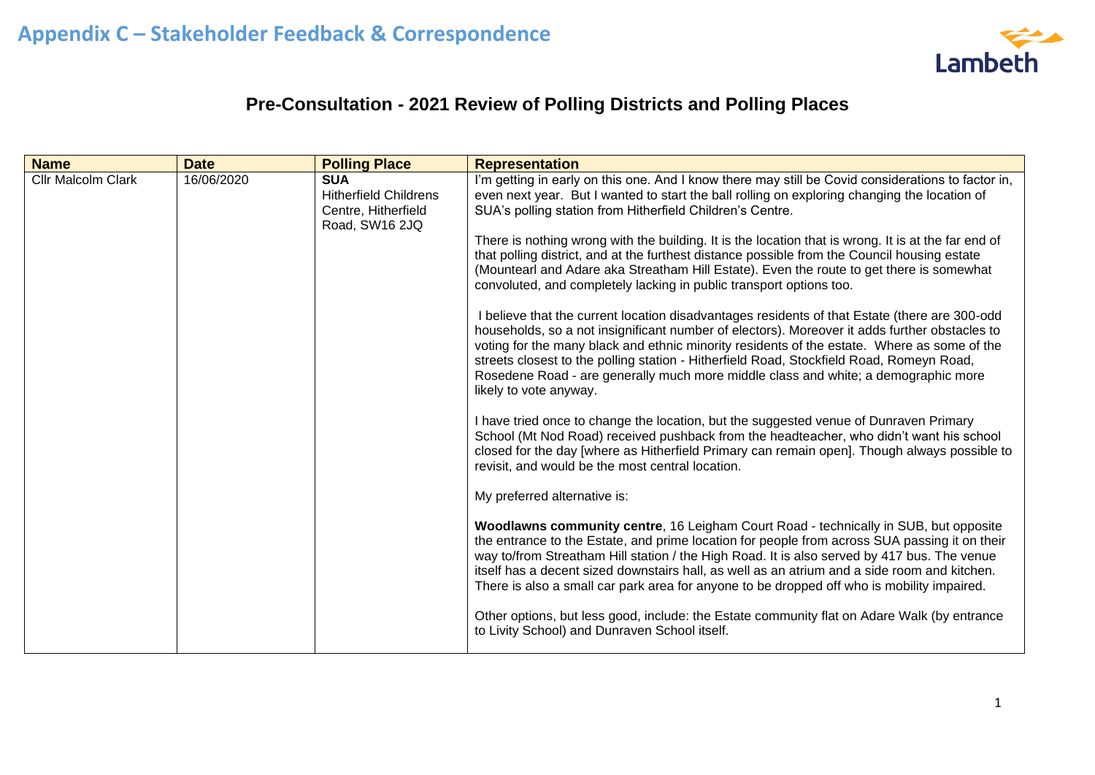

## **Pre-Consultation - 2021 Review of Polling Districts and Polling Places**

| <b>Name</b>               | <b>Date</b> | <b>Polling Place</b>                                                                | <b>Representation</b>                                                                                                                                                                                                                                                                                                                                                                                                                                                                                                                                                                                                                                                                                                                                                                                                                                                                                                                                                                                                                                                                                                                                  |
|---------------------------|-------------|-------------------------------------------------------------------------------------|--------------------------------------------------------------------------------------------------------------------------------------------------------------------------------------------------------------------------------------------------------------------------------------------------------------------------------------------------------------------------------------------------------------------------------------------------------------------------------------------------------------------------------------------------------------------------------------------------------------------------------------------------------------------------------------------------------------------------------------------------------------------------------------------------------------------------------------------------------------------------------------------------------------------------------------------------------------------------------------------------------------------------------------------------------------------------------------------------------------------------------------------------------|
| <b>Cllr Malcolm Clark</b> | 16/06/2020  | <b>SUA</b><br><b>Hitherfield Childrens</b><br>Centre, Hitherfield<br>Road, SW16 2JQ | I'm getting in early on this one. And I know there may still be Covid considerations to factor in,<br>even next year. But I wanted to start the ball rolling on exploring changing the location of<br>SUA's polling station from Hitherfield Children's Centre.<br>There is nothing wrong with the building. It is the location that is wrong. It is at the far end of<br>that polling district, and at the furthest distance possible from the Council housing estate<br>(Mountearl and Adare aka Streatham Hill Estate). Even the route to get there is somewhat<br>convoluted, and completely lacking in public transport options too.<br>I believe that the current location disadvantages residents of that Estate (there are 300-odd<br>households, so a not insignificant number of electors). Moreover it adds further obstacles to<br>voting for the many black and ethnic minority residents of the estate. Where as some of the<br>streets closest to the polling station - Hitherfield Road, Stockfield Road, Romeyn Road,<br>Rosedene Road - are generally much more middle class and white; a demographic more<br>likely to vote anyway. |
|                           |             |                                                                                     | I have tried once to change the location, but the suggested venue of Dunraven Primary<br>School (Mt Nod Road) received pushback from the headteacher, who didn't want his school<br>closed for the day [where as Hitherfield Primary can remain open]. Though always possible to<br>revisit, and would be the most central location.                                                                                                                                                                                                                                                                                                                                                                                                                                                                                                                                                                                                                                                                                                                                                                                                                   |
|                           |             |                                                                                     | My preferred alternative is:                                                                                                                                                                                                                                                                                                                                                                                                                                                                                                                                                                                                                                                                                                                                                                                                                                                                                                                                                                                                                                                                                                                           |
|                           |             |                                                                                     | Woodlawns community centre, 16 Leigham Court Road - technically in SUB, but opposite<br>the entrance to the Estate, and prime location for people from across SUA passing it on their<br>way to/from Streatham Hill station / the High Road. It is also served by 417 bus. The venue<br>itself has a decent sized downstairs hall, as well as an atrium and a side room and kitchen.<br>There is also a small car park area for anyone to be dropped off who is mobility impaired.<br>Other options, but less good, include: the Estate community flat on Adare Walk (by entrance                                                                                                                                                                                                                                                                                                                                                                                                                                                                                                                                                                      |
|                           |             |                                                                                     | to Livity School) and Dunraven School itself.                                                                                                                                                                                                                                                                                                                                                                                                                                                                                                                                                                                                                                                                                                                                                                                                                                                                                                                                                                                                                                                                                                          |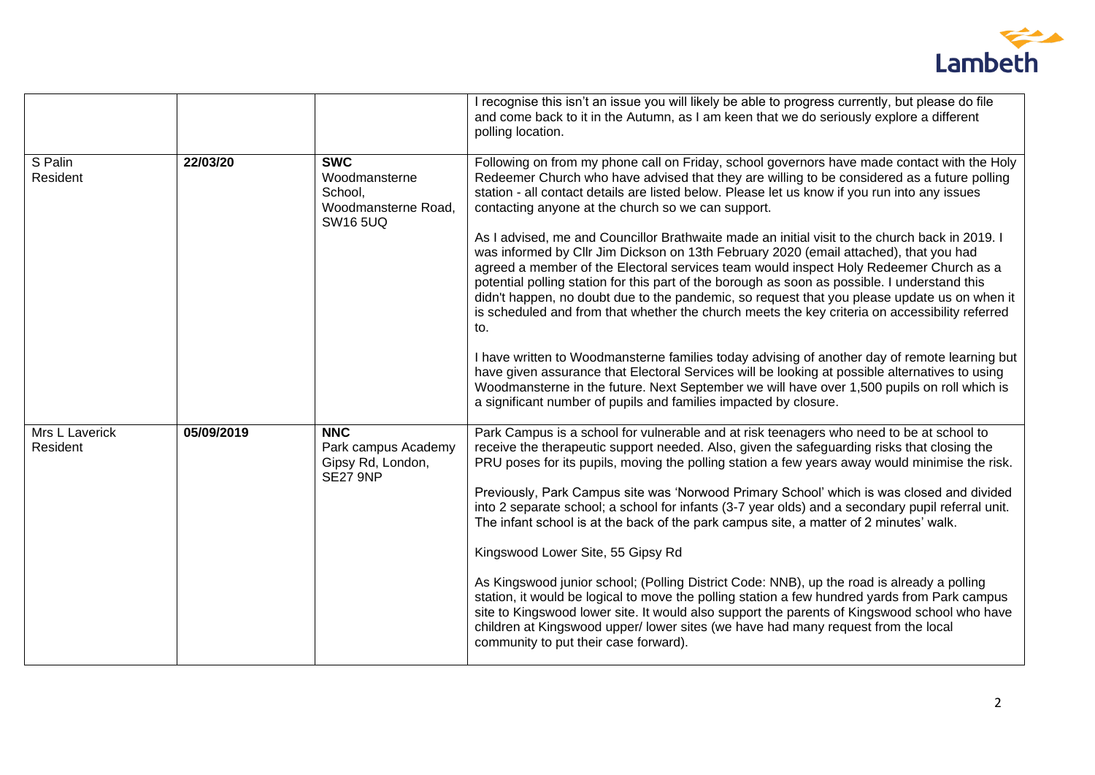

|                            |            |                                                                                  | I recognise this isn't an issue you will likely be able to progress currently, but please do file<br>and come back to it in the Autumn, as I am keen that we do seriously explore a different<br>polling location.                                                                                                                                                                                                                                                                                                                                                                                                                                                                                                                                                                                                                                                                                                                                                                                                                                                                                                                                                                                                                                                                                                     |
|----------------------------|------------|----------------------------------------------------------------------------------|------------------------------------------------------------------------------------------------------------------------------------------------------------------------------------------------------------------------------------------------------------------------------------------------------------------------------------------------------------------------------------------------------------------------------------------------------------------------------------------------------------------------------------------------------------------------------------------------------------------------------------------------------------------------------------------------------------------------------------------------------------------------------------------------------------------------------------------------------------------------------------------------------------------------------------------------------------------------------------------------------------------------------------------------------------------------------------------------------------------------------------------------------------------------------------------------------------------------------------------------------------------------------------------------------------------------|
| S Palin<br>Resident        | 22/03/20   | <b>SWC</b><br>Woodmansterne<br>School,<br>Woodmansterne Road,<br><b>SW16 5UQ</b> | Following on from my phone call on Friday, school governors have made contact with the Holy<br>Redeemer Church who have advised that they are willing to be considered as a future polling<br>station - all contact details are listed below. Please let us know if you run into any issues<br>contacting anyone at the church so we can support.<br>As I advised, me and Councillor Brathwaite made an initial visit to the church back in 2019. I<br>was informed by Cllr Jim Dickson on 13th February 2020 (email attached), that you had<br>agreed a member of the Electoral services team would inspect Holy Redeemer Church as a<br>potential polling station for this part of the borough as soon as possible. I understand this<br>didn't happen, no doubt due to the pandemic, so request that you please update us on when it<br>is scheduled and from that whether the church meets the key criteria on accessibility referred<br>to.<br>I have written to Woodmansterne families today advising of another day of remote learning but<br>have given assurance that Electoral Services will be looking at possible alternatives to using<br>Woodmansterne in the future. Next September we will have over 1,500 pupils on roll which is<br>a significant number of pupils and families impacted by closure. |
| Mrs L Laverick<br>Resident | 05/09/2019 | <b>NNC</b><br>Park campus Academy<br>Gipsy Rd, London,<br><b>SE27 9NP</b>        | Park Campus is a school for vulnerable and at risk teenagers who need to be at school to<br>receive the therapeutic support needed. Also, given the safeguarding risks that closing the<br>PRU poses for its pupils, moving the polling station a few years away would minimise the risk.<br>Previously, Park Campus site was 'Norwood Primary School' which is was closed and divided<br>into 2 separate school; a school for infants (3-7 year olds) and a secondary pupil referral unit.<br>The infant school is at the back of the park campus site, a matter of 2 minutes' walk.<br>Kingswood Lower Site, 55 Gipsy Rd<br>As Kingswood junior school; (Polling District Code: NNB), up the road is already a polling<br>station, it would be logical to move the polling station a few hundred yards from Park campus<br>site to Kingswood lower site. It would also support the parents of Kingswood school who have<br>children at Kingswood upper/ lower sites (we have had many request from the local<br>community to put their case forward).                                                                                                                                                                                                                                                                |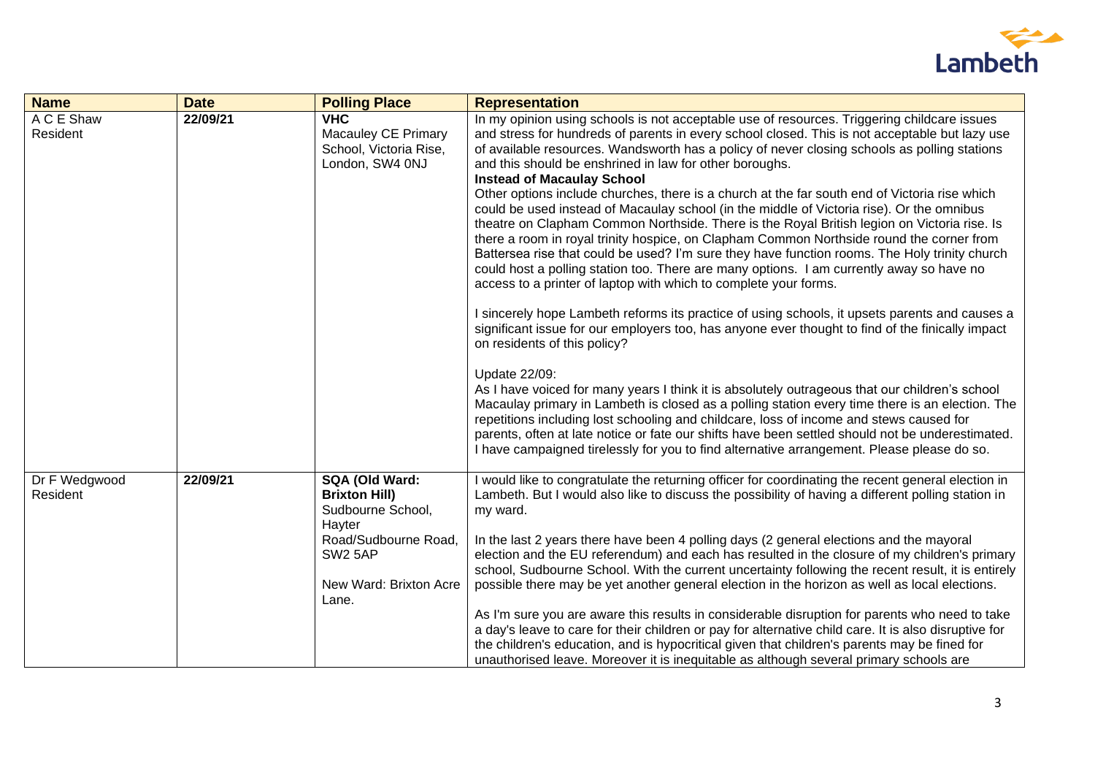

| <b>Name</b>               | <b>Date</b> | <b>Polling Place</b>                                                                                                                                    | <b>Representation</b>                                                                                                                                                                                                                                                                                                                                                                                                                                                                                                                                                                                                                                                                                                                                                                                                                                                                                                                                                                                                                                                                                                                                                                                                                                                                                                                                                                                                                                                                                                                                                                                                                                                                                                                                                                                            |
|---------------------------|-------------|---------------------------------------------------------------------------------------------------------------------------------------------------------|------------------------------------------------------------------------------------------------------------------------------------------------------------------------------------------------------------------------------------------------------------------------------------------------------------------------------------------------------------------------------------------------------------------------------------------------------------------------------------------------------------------------------------------------------------------------------------------------------------------------------------------------------------------------------------------------------------------------------------------------------------------------------------------------------------------------------------------------------------------------------------------------------------------------------------------------------------------------------------------------------------------------------------------------------------------------------------------------------------------------------------------------------------------------------------------------------------------------------------------------------------------------------------------------------------------------------------------------------------------------------------------------------------------------------------------------------------------------------------------------------------------------------------------------------------------------------------------------------------------------------------------------------------------------------------------------------------------------------------------------------------------------------------------------------------------|
| A C E Shaw<br>Resident    | 22/09/21    | <b>VHC</b><br><b>Macauley CE Primary</b><br>School, Victoria Rise,<br>London, SW4 0NJ                                                                   | In my opinion using schools is not acceptable use of resources. Triggering childcare issues<br>and stress for hundreds of parents in every school closed. This is not acceptable but lazy use<br>of available resources. Wandsworth has a policy of never closing schools as polling stations<br>and this should be enshrined in law for other boroughs.<br><b>Instead of Macaulay School</b><br>Other options include churches, there is a church at the far south end of Victoria rise which<br>could be used instead of Macaulay school (in the middle of Victoria rise). Or the omnibus<br>theatre on Clapham Common Northside. There is the Royal British legion on Victoria rise. Is<br>there a room in royal trinity hospice, on Clapham Common Northside round the corner from<br>Battersea rise that could be used? I'm sure they have function rooms. The Holy trinity church<br>could host a polling station too. There are many options. I am currently away so have no<br>access to a printer of laptop with which to complete your forms.<br>I sincerely hope Lambeth reforms its practice of using schools, it upsets parents and causes a<br>significant issue for our employers too, has anyone ever thought to find of the finically impact<br>on residents of this policy?<br>Update 22/09:<br>As I have voiced for many years I think it is absolutely outrageous that our children's school<br>Macaulay primary in Lambeth is closed as a polling station every time there is an election. The<br>repetitions including lost schooling and childcare, loss of income and stews caused for<br>parents, often at late notice or fate our shifts have been settled should not be underestimated.<br>I have campaigned tirelessly for you to find alternative arrangement. Please please do so. |
| Dr F Wedgwood<br>Resident | 22/09/21    | SQA (Old Ward:<br><b>Brixton Hill)</b><br>Sudbourne School,<br>Hayter<br>Road/Sudbourne Road,<br>SW <sub>2</sub> 5AP<br>New Ward: Brixton Acre<br>Lane. | I would like to congratulate the returning officer for coordinating the recent general election in<br>Lambeth. But I would also like to discuss the possibility of having a different polling station in<br>my ward.<br>In the last 2 years there have been 4 polling days (2 general elections and the mayoral<br>election and the EU referendum) and each has resulted in the closure of my children's primary<br>school, Sudbourne School. With the current uncertainty following the recent result, it is entirely<br>possible there may be yet another general election in the horizon as well as local elections.<br>As I'm sure you are aware this results in considerable disruption for parents who need to take<br>a day's leave to care for their children or pay for alternative child care. It is also disruptive for<br>the children's education, and is hypocritical given that children's parents may be fined for<br>unauthorised leave. Moreover it is inequitable as although several primary schools are                                                                                                                                                                                                                                                                                                                                                                                                                                                                                                                                                                                                                                                                                                                                                                                     |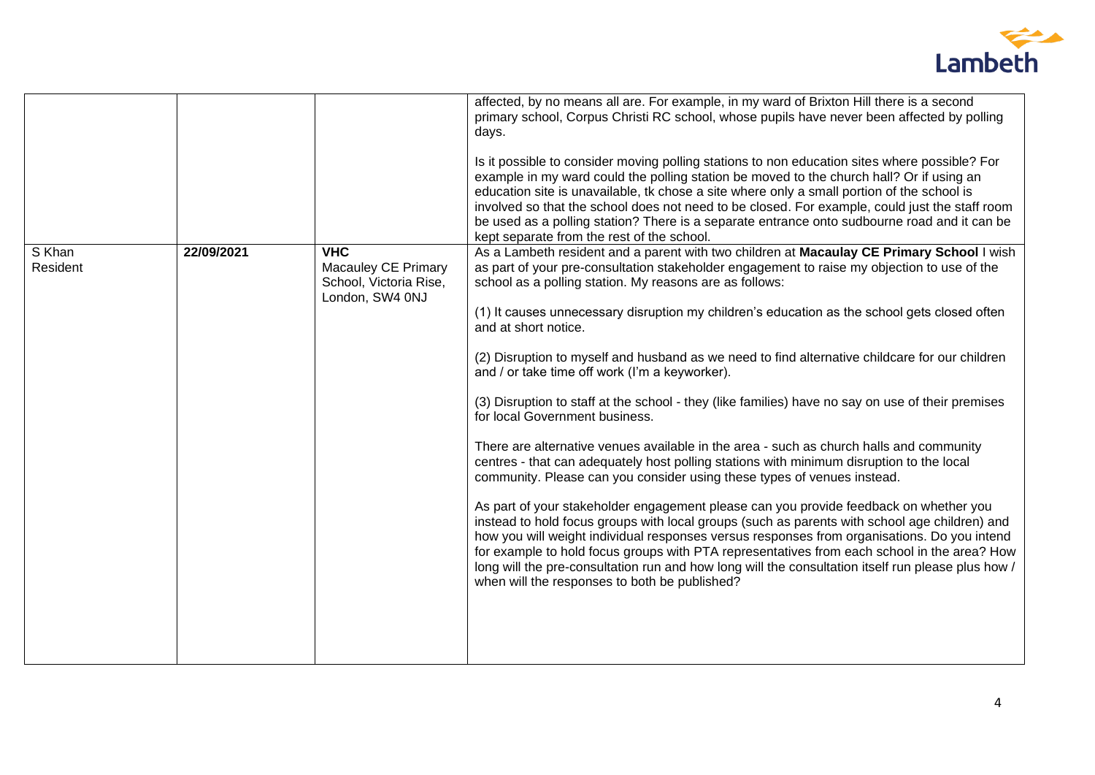

|                    |            |                                                                                | affected, by no means all are. For example, in my ward of Brixton Hill there is a second<br>primary school, Corpus Christi RC school, whose pupils have never been affected by polling<br>days.<br>Is it possible to consider moving polling stations to non education sites where possible? For<br>example in my ward could the polling station be moved to the church hall? Or if using an<br>education site is unavailable, tk chose a site where only a small portion of the school is<br>involved so that the school does not need to be closed. For example, could just the staff room<br>be used as a polling station? There is a separate entrance onto sudbourne road and it can be<br>kept separate from the rest of the school.                                                                                                                                                                                                                                                                                                                                                                                                                                                                                                                                                                                                                                                                                                                                              |
|--------------------|------------|--------------------------------------------------------------------------------|-----------------------------------------------------------------------------------------------------------------------------------------------------------------------------------------------------------------------------------------------------------------------------------------------------------------------------------------------------------------------------------------------------------------------------------------------------------------------------------------------------------------------------------------------------------------------------------------------------------------------------------------------------------------------------------------------------------------------------------------------------------------------------------------------------------------------------------------------------------------------------------------------------------------------------------------------------------------------------------------------------------------------------------------------------------------------------------------------------------------------------------------------------------------------------------------------------------------------------------------------------------------------------------------------------------------------------------------------------------------------------------------------------------------------------------------------------------------------------------------|
| S Khan<br>Resident | 22/09/2021 | <b>VHC</b><br>Macauley CE Primary<br>School, Victoria Rise,<br>London, SW4 0NJ | As a Lambeth resident and a parent with two children at Macaulay CE Primary School I wish<br>as part of your pre-consultation stakeholder engagement to raise my objection to use of the<br>school as a polling station. My reasons are as follows:<br>(1) It causes unnecessary disruption my children's education as the school gets closed often<br>and at short notice.<br>(2) Disruption to myself and husband as we need to find alternative childcare for our children<br>and / or take time off work (I'm a keyworker).<br>(3) Disruption to staff at the school - they (like families) have no say on use of their premises<br>for local Government business.<br>There are alternative venues available in the area - such as church halls and community<br>centres - that can adequately host polling stations with minimum disruption to the local<br>community. Please can you consider using these types of venues instead.<br>As part of your stakeholder engagement please can you provide feedback on whether you<br>instead to hold focus groups with local groups (such as parents with school age children) and<br>how you will weight individual responses versus responses from organisations. Do you intend<br>for example to hold focus groups with PTA representatives from each school in the area? How<br>long will the pre-consultation run and how long will the consultation itself run please plus how /<br>when will the responses to both be published? |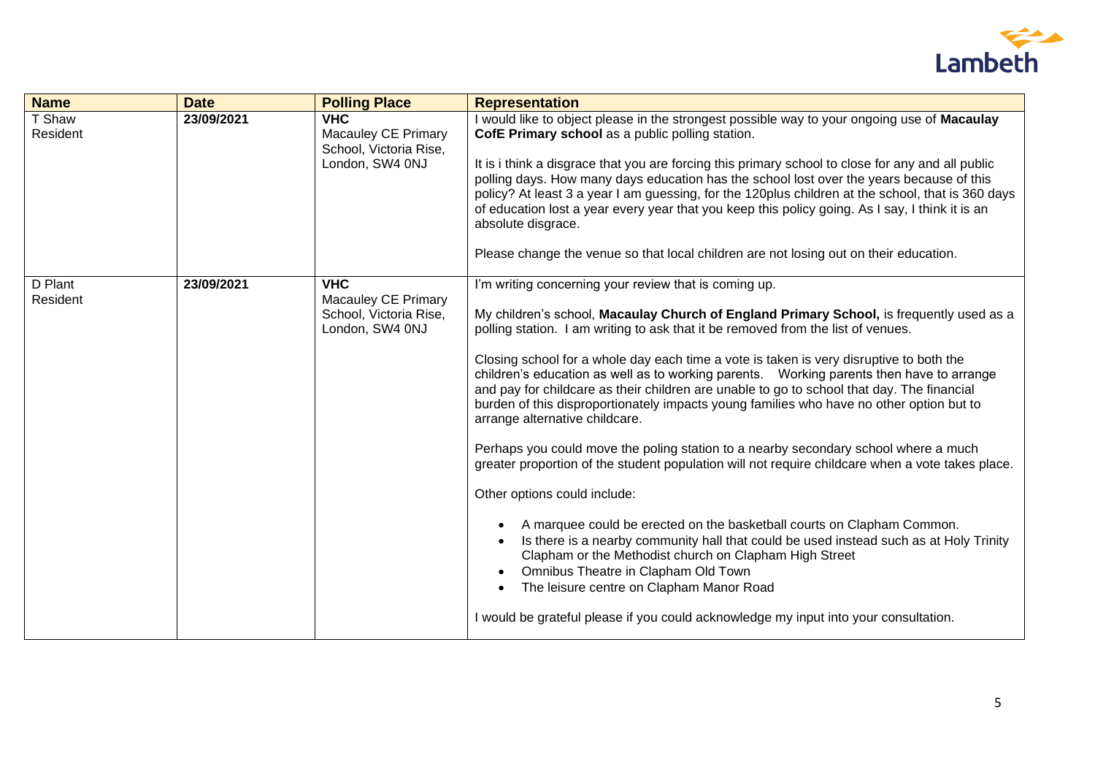

| <b>Name</b>         | <b>Date</b> | <b>Polling Place</b>                                                                  | <b>Representation</b>                                                                                                                                                                                                                                                                                                                                                                                                                                                                                                                                                                                                                                                                                                                                                                                                                                                                                                                                                                                                                                                                                                                                                                                                                                                                                                                             |
|---------------------|-------------|---------------------------------------------------------------------------------------|---------------------------------------------------------------------------------------------------------------------------------------------------------------------------------------------------------------------------------------------------------------------------------------------------------------------------------------------------------------------------------------------------------------------------------------------------------------------------------------------------------------------------------------------------------------------------------------------------------------------------------------------------------------------------------------------------------------------------------------------------------------------------------------------------------------------------------------------------------------------------------------------------------------------------------------------------------------------------------------------------------------------------------------------------------------------------------------------------------------------------------------------------------------------------------------------------------------------------------------------------------------------------------------------------------------------------------------------------|
| T Shaw<br>Resident  | 23/09/2021  | <b>VHC</b><br><b>Macauley CE Primary</b><br>School, Victoria Rise,<br>London, SW4 0NJ | I would like to object please in the strongest possible way to your ongoing use of Macaulay<br>CofE Primary school as a public polling station.<br>It is i think a disgrace that you are forcing this primary school to close for any and all public<br>polling days. How many days education has the school lost over the years because of this<br>policy? At least 3 a year I am guessing, for the 120plus children at the school, that is 360 days<br>of education lost a year every year that you keep this policy going. As I say, I think it is an<br>absolute disgrace.<br>Please change the venue so that local children are not losing out on their education.                                                                                                                                                                                                                                                                                                                                                                                                                                                                                                                                                                                                                                                                           |
| D Plant<br>Resident | 23/09/2021  | <b>VHC</b><br><b>Macauley CE Primary</b><br>School, Victoria Rise,<br>London, SW4 0NJ | I'm writing concerning your review that is coming up.<br>My children's school, Macaulay Church of England Primary School, is frequently used as a<br>polling station. I am writing to ask that it be removed from the list of venues.<br>Closing school for a whole day each time a vote is taken is very disruptive to both the<br>children's education as well as to working parents.  Working parents then have to arrange<br>and pay for childcare as their children are unable to go to school that day. The financial<br>burden of this disproportionately impacts young families who have no other option but to<br>arrange alternative childcare.<br>Perhaps you could move the poling station to a nearby secondary school where a much<br>greater proportion of the student population will not require childcare when a vote takes place.<br>Other options could include:<br>A marquee could be erected on the basketball courts on Clapham Common.<br>$\bullet$<br>Is there is a nearby community hall that could be used instead such as at Holy Trinity<br>$\bullet$<br>Clapham or the Methodist church on Clapham High Street<br>Omnibus Theatre in Clapham Old Town<br>$\bullet$<br>The leisure centre on Clapham Manor Road<br>$\bullet$<br>I would be grateful please if you could acknowledge my input into your consultation. |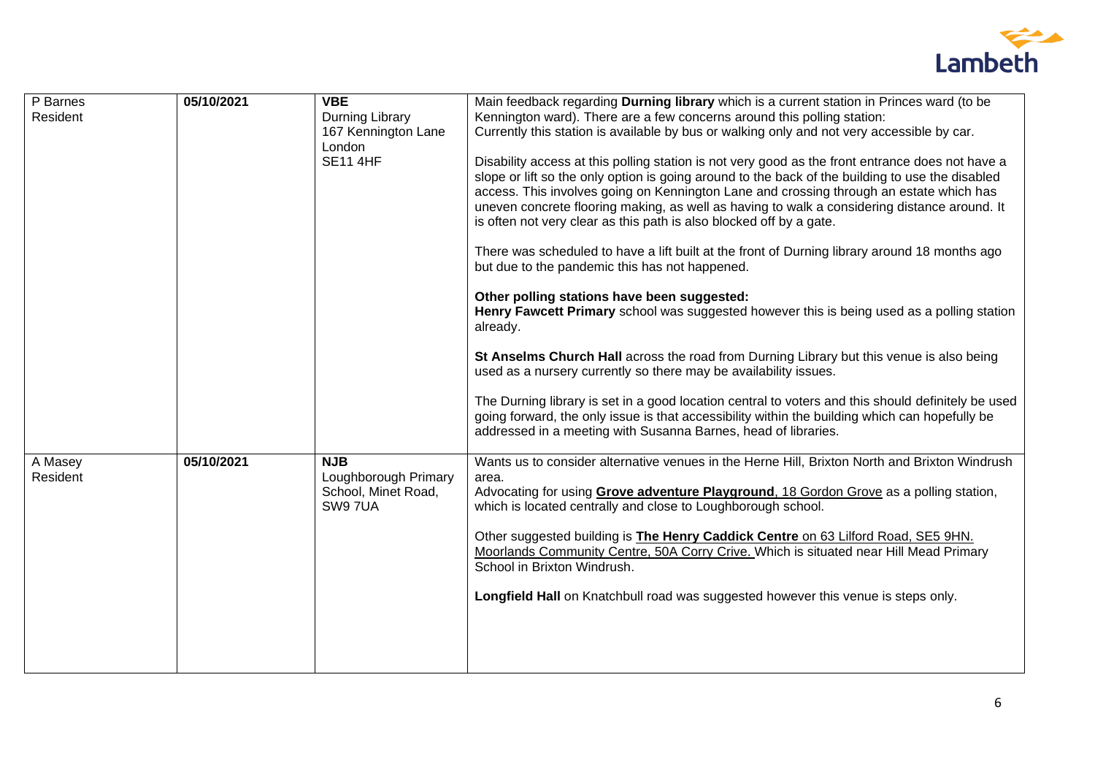

| P Barnes | 05/10/2021 | <b>VBE</b>                | Main feedback regarding Durning library which is a current station in Princes ward (to be                                                                                                                                                                                                                                                                                                                                                                                                                                                                                                                                                                                                                                                                                                                                                                                                                                                          |
|----------|------------|---------------------------|----------------------------------------------------------------------------------------------------------------------------------------------------------------------------------------------------------------------------------------------------------------------------------------------------------------------------------------------------------------------------------------------------------------------------------------------------------------------------------------------------------------------------------------------------------------------------------------------------------------------------------------------------------------------------------------------------------------------------------------------------------------------------------------------------------------------------------------------------------------------------------------------------------------------------------------------------|
| Resident |            | Durning Library           | Kennington ward). There are a few concerns around this polling station:                                                                                                                                                                                                                                                                                                                                                                                                                                                                                                                                                                                                                                                                                                                                                                                                                                                                            |
|          |            | 167 Kennington Lane       | Currently this station is available by bus or walking only and not very accessible by car.                                                                                                                                                                                                                                                                                                                                                                                                                                                                                                                                                                                                                                                                                                                                                                                                                                                         |
|          |            |                           |                                                                                                                                                                                                                                                                                                                                                                                                                                                                                                                                                                                                                                                                                                                                                                                                                                                                                                                                                    |
|          |            | London<br><b>SE11 4HF</b> | Disability access at this polling station is not very good as the front entrance does not have a<br>slope or lift so the only option is going around to the back of the building to use the disabled<br>access. This involves going on Kennington Lane and crossing through an estate which has<br>uneven concrete flooring making, as well as having to walk a considering distance around. It<br>is often not very clear as this path is also blocked off by a gate.<br>There was scheduled to have a lift built at the front of Durning library around 18 months ago<br>but due to the pandemic this has not happened.<br>Other polling stations have been suggested:<br>Henry Fawcett Primary school was suggested however this is being used as a polling station<br>already.<br>St Anselms Church Hall across the road from Durning Library but this venue is also being<br>used as a nursery currently so there may be availability issues. |
|          |            |                           | The Durning library is set in a good location central to voters and this should definitely be used<br>going forward, the only issue is that accessibility within the building which can hopefully be<br>addressed in a meeting with Susanna Barnes, head of libraries.                                                                                                                                                                                                                                                                                                                                                                                                                                                                                                                                                                                                                                                                             |
| A Masey  | 05/10/2021 | <b>NJB</b>                | Wants us to consider alternative venues in the Herne Hill, Brixton North and Brixton Windrush                                                                                                                                                                                                                                                                                                                                                                                                                                                                                                                                                                                                                                                                                                                                                                                                                                                      |
| Resident |            | Loughborough Primary      | area.                                                                                                                                                                                                                                                                                                                                                                                                                                                                                                                                                                                                                                                                                                                                                                                                                                                                                                                                              |
|          |            | School, Minet Road,       | Advocating for using Grove adventure Playground, 18 Gordon Grove as a polling station,                                                                                                                                                                                                                                                                                                                                                                                                                                                                                                                                                                                                                                                                                                                                                                                                                                                             |
|          |            | SW9 7UA                   | which is located centrally and close to Loughborough school.                                                                                                                                                                                                                                                                                                                                                                                                                                                                                                                                                                                                                                                                                                                                                                                                                                                                                       |
|          |            |                           | Other suggested building is <b>The Henry Caddick Centre</b> on 63 Lilford Road, SE5 9HN.<br>Moorlands Community Centre, 50A Corry Crive. Which is situated near Hill Mead Primary<br>School in Brixton Windrush.                                                                                                                                                                                                                                                                                                                                                                                                                                                                                                                                                                                                                                                                                                                                   |
|          |            |                           | Longfield Hall on Knatchbull road was suggested however this venue is steps only.                                                                                                                                                                                                                                                                                                                                                                                                                                                                                                                                                                                                                                                                                                                                                                                                                                                                  |
|          |            |                           |                                                                                                                                                                                                                                                                                                                                                                                                                                                                                                                                                                                                                                                                                                                                                                                                                                                                                                                                                    |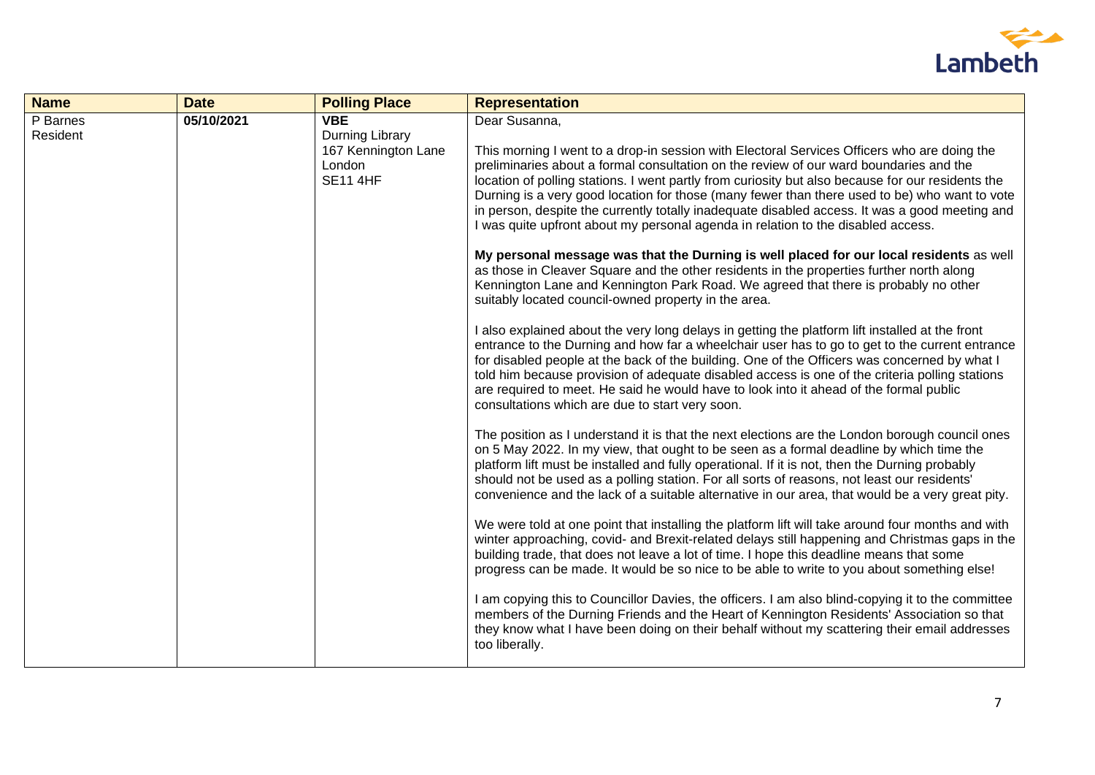

| <b>Name</b>          | <b>Date</b> | <b>Polling Place</b>                                                              | <b>Representation</b>                                                                                                                                                                                                                                                                                                                                                                                                                                                                                                                                                                                                                                                                                                                                                                                                                                                                                                                                                                                                                                                                                                                                                                                                                                                                                                                                                                                                                                                                                                                                                                                                                                                                                                                                                                                                                                                                                                                                                                                                                                                                                                                                                                                                                                                                                                                                                                          |
|----------------------|-------------|-----------------------------------------------------------------------------------|------------------------------------------------------------------------------------------------------------------------------------------------------------------------------------------------------------------------------------------------------------------------------------------------------------------------------------------------------------------------------------------------------------------------------------------------------------------------------------------------------------------------------------------------------------------------------------------------------------------------------------------------------------------------------------------------------------------------------------------------------------------------------------------------------------------------------------------------------------------------------------------------------------------------------------------------------------------------------------------------------------------------------------------------------------------------------------------------------------------------------------------------------------------------------------------------------------------------------------------------------------------------------------------------------------------------------------------------------------------------------------------------------------------------------------------------------------------------------------------------------------------------------------------------------------------------------------------------------------------------------------------------------------------------------------------------------------------------------------------------------------------------------------------------------------------------------------------------------------------------------------------------------------------------------------------------------------------------------------------------------------------------------------------------------------------------------------------------------------------------------------------------------------------------------------------------------------------------------------------------------------------------------------------------------------------------------------------------------------------------------------------------|
| P Barnes<br>Resident | 05/10/2021  | <b>VBE</b><br>Durning Library<br>167 Kennington Lane<br>London<br><b>SE11 4HF</b> | Dear Susanna,<br>This morning I went to a drop-in session with Electoral Services Officers who are doing the<br>preliminaries about a formal consultation on the review of our ward boundaries and the<br>location of polling stations. I went partly from curiosity but also because for our residents the<br>Durning is a very good location for those (many fewer than there used to be) who want to vote<br>in person, despite the currently totally inadequate disabled access. It was a good meeting and<br>I was quite upfront about my personal agenda in relation to the disabled access.<br>My personal message was that the Durning is well placed for our local residents as well<br>as those in Cleaver Square and the other residents in the properties further north along<br>Kennington Lane and Kennington Park Road. We agreed that there is probably no other<br>suitably located council-owned property in the area.<br>I also explained about the very long delays in getting the platform lift installed at the front<br>entrance to the Durning and how far a wheelchair user has to go to get to the current entrance<br>for disabled people at the back of the building. One of the Officers was concerned by what I<br>told him because provision of adequate disabled access is one of the criteria polling stations<br>are required to meet. He said he would have to look into it ahead of the formal public<br>consultations which are due to start very soon.<br>The position as I understand it is that the next elections are the London borough council ones<br>on 5 May 2022. In my view, that ought to be seen as a formal deadline by which time the<br>platform lift must be installed and fully operational. If it is not, then the Durning probably<br>should not be used as a polling station. For all sorts of reasons, not least our residents'<br>convenience and the lack of a suitable alternative in our area, that would be a very great pity.<br>We were told at one point that installing the platform lift will take around four months and with<br>winter approaching, covid- and Brexit-related delays still happening and Christmas gaps in the<br>building trade, that does not leave a lot of time. I hope this deadline means that some<br>progress can be made. It would be so nice to be able to write to you about something else! |
|                      |             |                                                                                   | I am copying this to Councillor Davies, the officers. I am also blind-copying it to the committee<br>members of the Durning Friends and the Heart of Kennington Residents' Association so that<br>they know what I have been doing on their behalf without my scattering their email addresses<br>too liberally.                                                                                                                                                                                                                                                                                                                                                                                                                                                                                                                                                                                                                                                                                                                                                                                                                                                                                                                                                                                                                                                                                                                                                                                                                                                                                                                                                                                                                                                                                                                                                                                                                                                                                                                                                                                                                                                                                                                                                                                                                                                                               |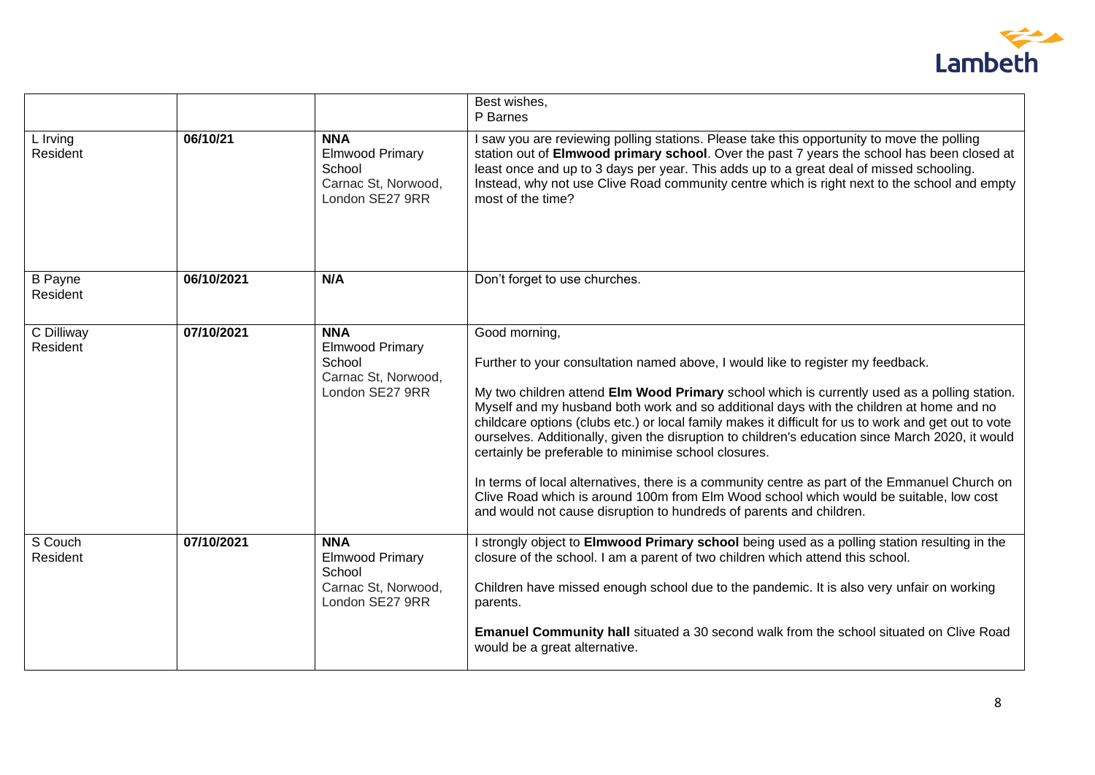

|                            |            |                                                                                          | Best wishes,<br>P Barnes                                                                                                                                                                                                                                                                                                                                                                                                                                                                                                                                                                                                                                                                                                                                                                                                          |
|----------------------------|------------|------------------------------------------------------------------------------------------|-----------------------------------------------------------------------------------------------------------------------------------------------------------------------------------------------------------------------------------------------------------------------------------------------------------------------------------------------------------------------------------------------------------------------------------------------------------------------------------------------------------------------------------------------------------------------------------------------------------------------------------------------------------------------------------------------------------------------------------------------------------------------------------------------------------------------------------|
| L Irving<br>Resident       | 06/10/21   | <b>NNA</b><br><b>Elmwood Primary</b><br>School<br>Carnac St, Norwood,<br>London SE27 9RR | I saw you are reviewing polling stations. Please take this opportunity to move the polling<br>station out of Elmwood primary school. Over the past 7 years the school has been closed at<br>least once and up to 3 days per year. This adds up to a great deal of missed schooling.<br>Instead, why not use Clive Road community centre which is right next to the school and empty<br>most of the time?                                                                                                                                                                                                                                                                                                                                                                                                                          |
| <b>B</b> Payne<br>Resident | 06/10/2021 | N/A                                                                                      | Don't forget to use churches.                                                                                                                                                                                                                                                                                                                                                                                                                                                                                                                                                                                                                                                                                                                                                                                                     |
| C Dilliway<br>Resident     | 07/10/2021 | <b>NNA</b><br><b>Elmwood Primary</b><br>School<br>Carnac St, Norwood,<br>London SE27 9RR | Good morning,<br>Further to your consultation named above, I would like to register my feedback.<br>My two children attend Elm Wood Primary school which is currently used as a polling station.<br>Myself and my husband both work and so additional days with the children at home and no<br>childcare options (clubs etc.) or local family makes it difficult for us to work and get out to vote<br>ourselves. Additionally, given the disruption to children's education since March 2020, it would<br>certainly be preferable to minimise school closures.<br>In terms of local alternatives, there is a community centre as part of the Emmanuel Church on<br>Clive Road which is around 100m from Elm Wood school which would be suitable, low cost<br>and would not cause disruption to hundreds of parents and children. |
| S Couch<br>Resident        | 07/10/2021 | <b>NNA</b><br><b>Elmwood Primary</b><br>School<br>Carnac St, Norwood,<br>London SE27 9RR | I strongly object to Elmwood Primary school being used as a polling station resulting in the<br>closure of the school. I am a parent of two children which attend this school.<br>Children have missed enough school due to the pandemic. It is also very unfair on working<br>parents.<br>Emanuel Community hall situated a 30 second walk from the school situated on Clive Road<br>would be a great alternative.                                                                                                                                                                                                                                                                                                                                                                                                               |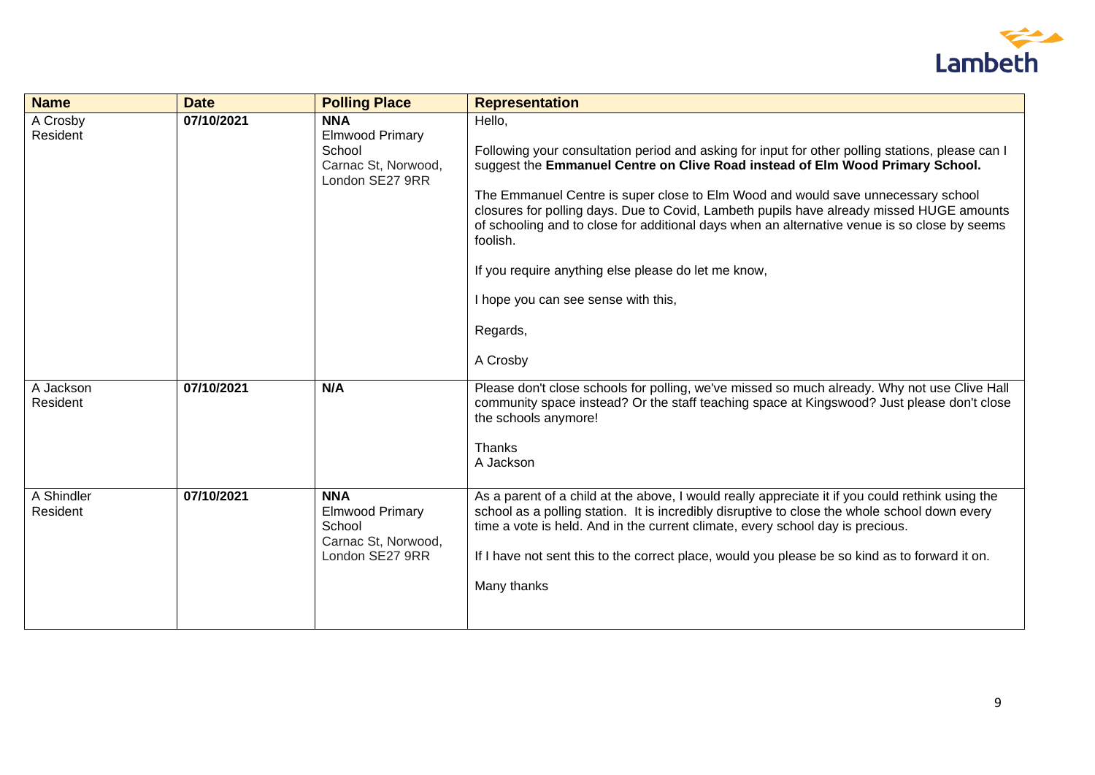

| <b>Name</b>            | <b>Date</b> | <b>Polling Place</b>                                                                     | <b>Representation</b>                                                                                                                                                                                                                                                                                                                                                                                                                                                                                                                                                                                         |
|------------------------|-------------|------------------------------------------------------------------------------------------|---------------------------------------------------------------------------------------------------------------------------------------------------------------------------------------------------------------------------------------------------------------------------------------------------------------------------------------------------------------------------------------------------------------------------------------------------------------------------------------------------------------------------------------------------------------------------------------------------------------|
| A Crosby<br>Resident   | 07/10/2021  | <b>NNA</b><br><b>Elmwood Primary</b><br>School<br>Carnac St, Norwood,<br>London SE27 9RR | Hello,<br>Following your consultation period and asking for input for other polling stations, please can I<br>suggest the Emmanuel Centre on Clive Road instead of Elm Wood Primary School.<br>The Emmanuel Centre is super close to Elm Wood and would save unnecessary school<br>closures for polling days. Due to Covid, Lambeth pupils have already missed HUGE amounts<br>of schooling and to close for additional days when an alternative venue is so close by seems<br>foolish.<br>If you require anything else please do let me know,<br>I hope you can see sense with this,<br>Regards,<br>A Crosby |
| A Jackson<br>Resident  | 07/10/2021  | N/A                                                                                      | Please don't close schools for polling, we've missed so much already. Why not use Clive Hall<br>community space instead? Or the staff teaching space at Kingswood? Just please don't close<br>the schools anymore!<br>Thanks<br>A Jackson                                                                                                                                                                                                                                                                                                                                                                     |
| A Shindler<br>Resident | 07/10/2021  | <b>NNA</b><br><b>Elmwood Primary</b><br>School<br>Carnac St, Norwood,<br>London SE27 9RR | As a parent of a child at the above, I would really appreciate it if you could rethink using the<br>school as a polling station. It is incredibly disruptive to close the whole school down every<br>time a vote is held. And in the current climate, every school day is precious.<br>If I have not sent this to the correct place, would you please be so kind as to forward it on.<br>Many thanks                                                                                                                                                                                                          |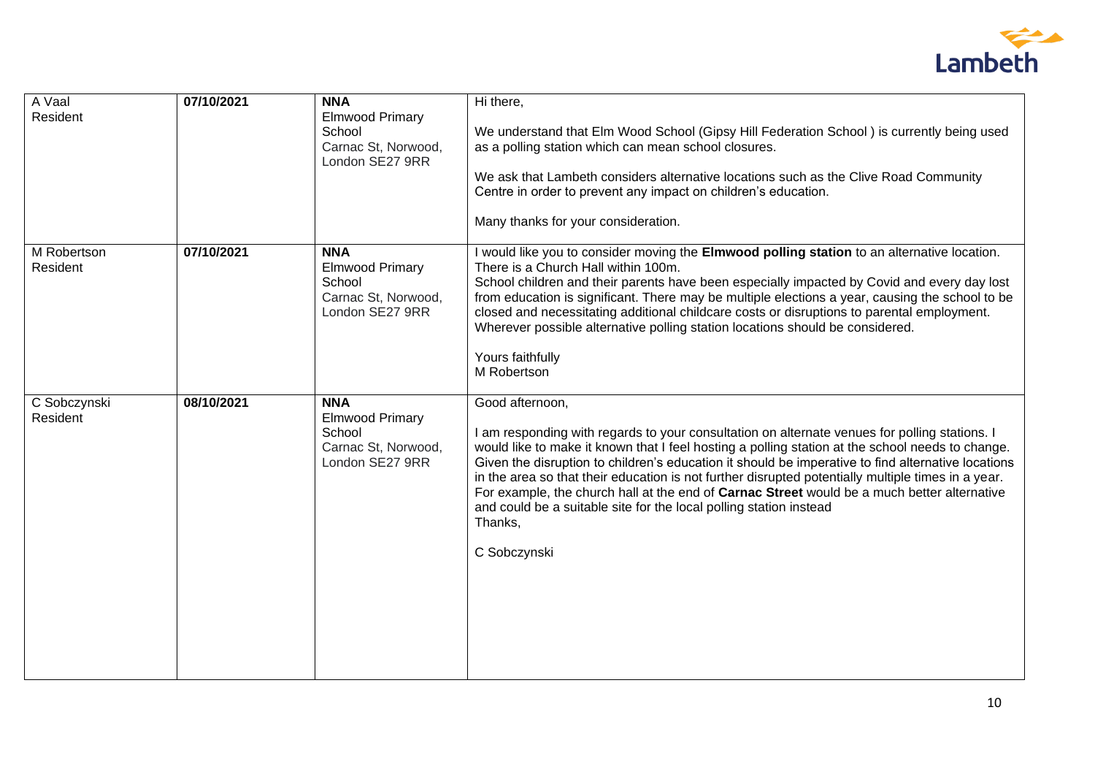

| 07/10/2021 | <b>NNA</b><br><b>Elmwood Primary</b>                                                     | Hi there,                                                                                                                                                                                                                                                                                                                                                                                                                                                                                                                                                                                                                        |
|------------|------------------------------------------------------------------------------------------|----------------------------------------------------------------------------------------------------------------------------------------------------------------------------------------------------------------------------------------------------------------------------------------------------------------------------------------------------------------------------------------------------------------------------------------------------------------------------------------------------------------------------------------------------------------------------------------------------------------------------------|
|            | School<br>Carnac St, Norwood,                                                            | We understand that Elm Wood School (Gipsy Hill Federation School) is currently being used<br>as a polling station which can mean school closures.                                                                                                                                                                                                                                                                                                                                                                                                                                                                                |
|            |                                                                                          | We ask that Lambeth considers alternative locations such as the Clive Road Community<br>Centre in order to prevent any impact on children's education.                                                                                                                                                                                                                                                                                                                                                                                                                                                                           |
|            |                                                                                          | Many thanks for your consideration.                                                                                                                                                                                                                                                                                                                                                                                                                                                                                                                                                                                              |
| 07/10/2021 | <b>NNA</b><br><b>Elmwood Primary</b><br>School<br>Carnac St, Norwood,<br>London SE27 9RR | I would like you to consider moving the Elmwood polling station to an alternative location.<br>There is a Church Hall within 100m.<br>School children and their parents have been especially impacted by Covid and every day lost<br>from education is significant. There may be multiple elections a year, causing the school to be<br>closed and necessitating additional childcare costs or disruptions to parental employment.<br>Wherever possible alternative polling station locations should be considered.<br>Yours faithfully<br>M Robertson                                                                           |
| 08/10/2021 | <b>NNA</b><br><b>Elmwood Primary</b><br>School<br>Carnac St, Norwood,<br>London SE27 9RR | Good afternoon,<br>I am responding with regards to your consultation on alternate venues for polling stations. I<br>would like to make it known that I feel hosting a polling station at the school needs to change.<br>Given the disruption to children's education it should be imperative to find alternative locations<br>in the area so that their education is not further disrupted potentially multiple times in a year.<br>For example, the church hall at the end of Carnac Street would be a much better alternative<br>and could be a suitable site for the local polling station instead<br>Thanks,<br>C Sobczynski |
|            |                                                                                          | London SE27 9RR                                                                                                                                                                                                                                                                                                                                                                                                                                                                                                                                                                                                                  |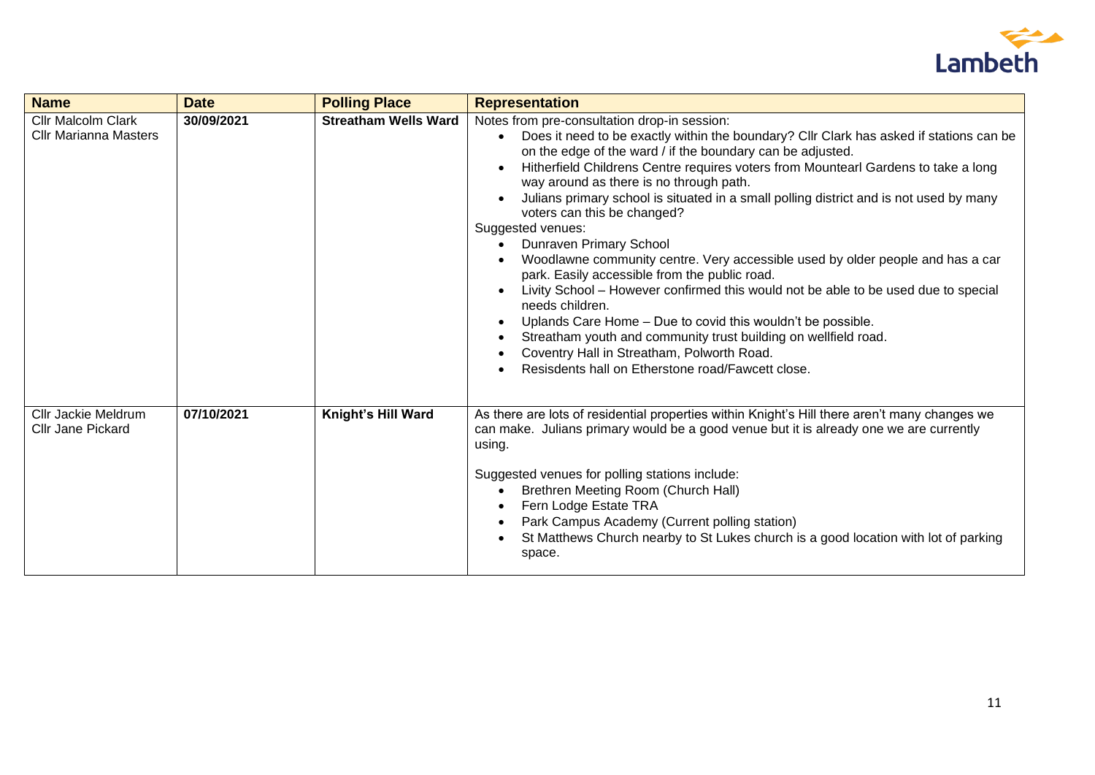

| <b>Name</b>                                               | <b>Date</b> | <b>Polling Place</b>        | <b>Representation</b>                                                                                                                                                                                                                                                                                                                                                                                                                                                                                                                                                                                                                                                                                                                                                                                                                                                                                                                                                                                                      |
|-----------------------------------------------------------|-------------|-----------------------------|----------------------------------------------------------------------------------------------------------------------------------------------------------------------------------------------------------------------------------------------------------------------------------------------------------------------------------------------------------------------------------------------------------------------------------------------------------------------------------------------------------------------------------------------------------------------------------------------------------------------------------------------------------------------------------------------------------------------------------------------------------------------------------------------------------------------------------------------------------------------------------------------------------------------------------------------------------------------------------------------------------------------------|
| <b>Cllr Malcolm Clark</b><br><b>Cllr Marianna Masters</b> | 30/09/2021  | <b>Streatham Wells Ward</b> | Notes from pre-consultation drop-in session:<br>Does it need to be exactly within the boundary? Cllr Clark has asked if stations can be<br>on the edge of the ward / if the boundary can be adjusted.<br>Hitherfield Childrens Centre requires voters from Mountearl Gardens to take a long<br>way around as there is no through path.<br>Julians primary school is situated in a small polling district and is not used by many<br>voters can this be changed?<br>Suggested venues:<br>Dunraven Primary School<br>Woodlawne community centre. Very accessible used by older people and has a car<br>park. Easily accessible from the public road.<br>Livity School - However confirmed this would not be able to be used due to special<br>needs children.<br>Uplands Care Home - Due to covid this wouldn't be possible.<br>$\bullet$<br>Streatham youth and community trust building on wellfield road.<br>$\bullet$<br>Coventry Hall in Streatham, Polworth Road.<br>Resisdents hall on Etherstone road/Fawcett close. |
| <b>Cllr Jackie Meldrum</b><br><b>Cllr Jane Pickard</b>    | 07/10/2021  | Knight's Hill Ward          | As there are lots of residential properties within Knight's Hill there aren't many changes we<br>can make. Julians primary would be a good venue but it is already one we are currently<br>using.<br>Suggested venues for polling stations include:<br>Brethren Meeting Room (Church Hall)<br>Fern Lodge Estate TRA<br>Park Campus Academy (Current polling station)<br>St Matthews Church nearby to St Lukes church is a good location with lot of parking<br>space.                                                                                                                                                                                                                                                                                                                                                                                                                                                                                                                                                      |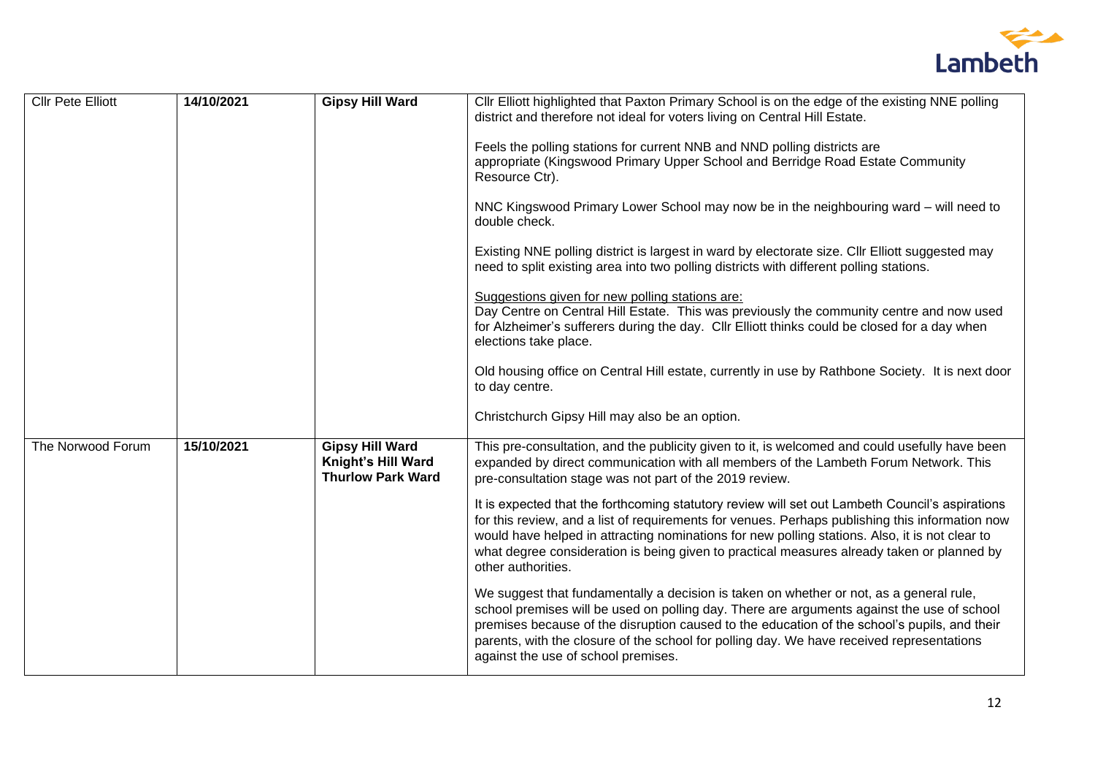

| <b>Cllr Pete Elliott</b> | 14/10/2021 | <b>Gipsy Hill Ward</b>                                                   | CIIr Elliott highlighted that Paxton Primary School is on the edge of the existing NNE polling<br>district and therefore not ideal for voters living on Central Hill Estate.<br>Feels the polling stations for current NNB and NND polling districts are<br>appropriate (Kingswood Primary Upper School and Berridge Road Estate Community<br>Resource Ctr).<br>NNC Kingswood Primary Lower School may now be in the neighbouring ward - will need to<br>double check.<br>Existing NNE polling district is largest in ward by electorate size. Cllr Elliott suggested may<br>need to split existing area into two polling districts with different polling stations.<br>Suggestions given for new polling stations are:<br>Day Centre on Central Hill Estate. This was previously the community centre and now used<br>for Alzheimer's sufferers during the day. Cllr Elliott thinks could be closed for a day when<br>elections take place.<br>Old housing office on Central Hill estate, currently in use by Rathbone Society. It is next door<br>to day centre.<br>Christchurch Gipsy Hill may also be an option. |
|--------------------------|------------|--------------------------------------------------------------------------|----------------------------------------------------------------------------------------------------------------------------------------------------------------------------------------------------------------------------------------------------------------------------------------------------------------------------------------------------------------------------------------------------------------------------------------------------------------------------------------------------------------------------------------------------------------------------------------------------------------------------------------------------------------------------------------------------------------------------------------------------------------------------------------------------------------------------------------------------------------------------------------------------------------------------------------------------------------------------------------------------------------------------------------------------------------------------------------------------------------------|
| The Norwood Forum        | 15/10/2021 | <b>Gipsy Hill Ward</b><br>Knight's Hill Ward<br><b>Thurlow Park Ward</b> | This pre-consultation, and the publicity given to it, is welcomed and could usefully have been<br>expanded by direct communication with all members of the Lambeth Forum Network. This<br>pre-consultation stage was not part of the 2019 review.<br>It is expected that the forthcoming statutory review will set out Lambeth Council's aspirations<br>for this review, and a list of requirements for venues. Perhaps publishing this information now<br>would have helped in attracting nominations for new polling stations. Also, it is not clear to<br>what degree consideration is being given to practical measures already taken or planned by<br>other authorities.<br>We suggest that fundamentally a decision is taken on whether or not, as a general rule,<br>school premises will be used on polling day. There are arguments against the use of school<br>premises because of the disruption caused to the education of the school's pupils, and their<br>parents, with the closure of the school for polling day. We have received representations<br>against the use of school premises.           |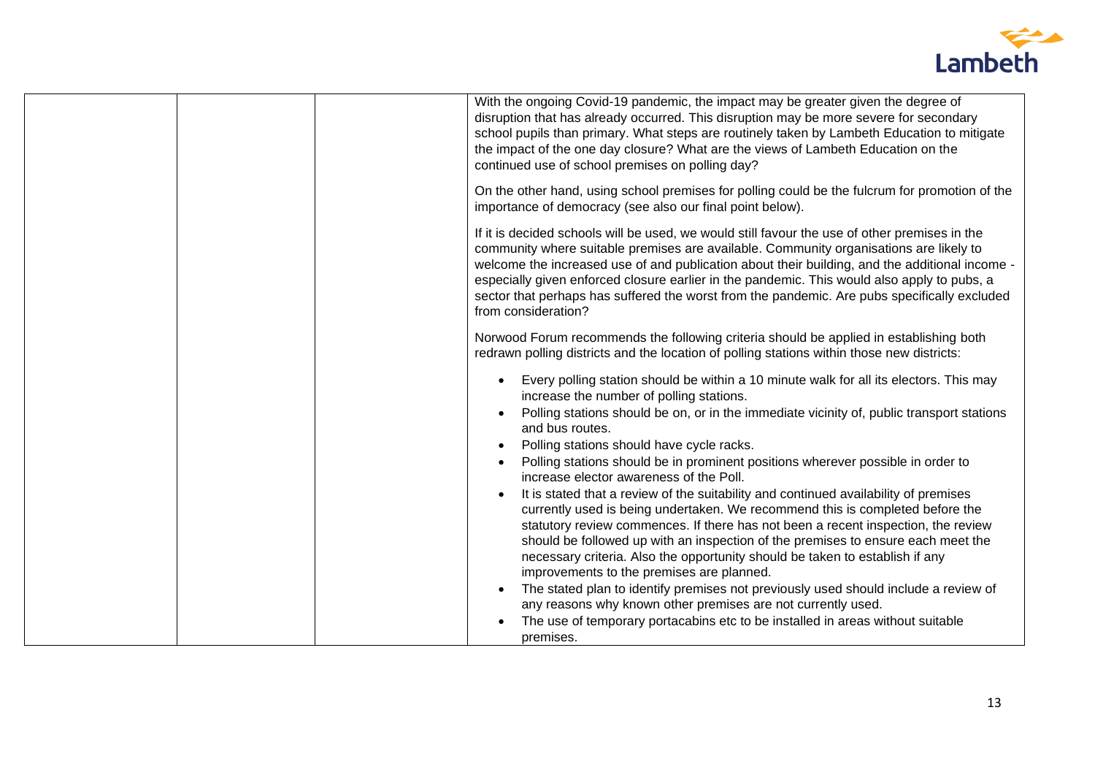

|  | With the ongoing Covid-19 pandemic, the impact may be greater given the degree of<br>disruption that has already occurred. This disruption may be more severe for secondary<br>school pupils than primary. What steps are routinely taken by Lambeth Education to mitigate<br>the impact of the one day closure? What are the views of Lambeth Education on the<br>continued use of school premises on polling day?<br>On the other hand, using school premises for polling could be the fulcrum for promotion of the |
|--|-----------------------------------------------------------------------------------------------------------------------------------------------------------------------------------------------------------------------------------------------------------------------------------------------------------------------------------------------------------------------------------------------------------------------------------------------------------------------------------------------------------------------|
|  | importance of democracy (see also our final point below).                                                                                                                                                                                                                                                                                                                                                                                                                                                             |
|  | If it is decided schools will be used, we would still favour the use of other premises in the<br>community where suitable premises are available. Community organisations are likely to<br>welcome the increased use of and publication about their building, and the additional income -<br>especially given enforced closure earlier in the pandemic. This would also apply to pubs, a<br>sector that perhaps has suffered the worst from the pandemic. Are pubs specifically excluded<br>from consideration?       |
|  | Norwood Forum recommends the following criteria should be applied in establishing both<br>redrawn polling districts and the location of polling stations within those new districts:                                                                                                                                                                                                                                                                                                                                  |
|  | Every polling station should be within a 10 minute walk for all its electors. This may<br>$\bullet$<br>increase the number of polling stations.<br>Polling stations should be on, or in the immediate vicinity of, public transport stations<br>and bus routes.<br>Polling stations should have cycle racks.<br>Polling stations should be in prominent positions wherever possible in order to<br>increase elector awareness of the Poll.                                                                            |
|  | It is stated that a review of the suitability and continued availability of premises<br>currently used is being undertaken. We recommend this is completed before the<br>statutory review commences. If there has not been a recent inspection, the review<br>should be followed up with an inspection of the premises to ensure each meet the<br>necessary criteria. Also the opportunity should be taken to establish if any<br>improvements to the premises are planned.                                           |
|  | The stated plan to identify premises not previously used should include a review of<br>any reasons why known other premises are not currently used.<br>The use of temporary portacabins etc to be installed in areas without suitable<br>premises.                                                                                                                                                                                                                                                                    |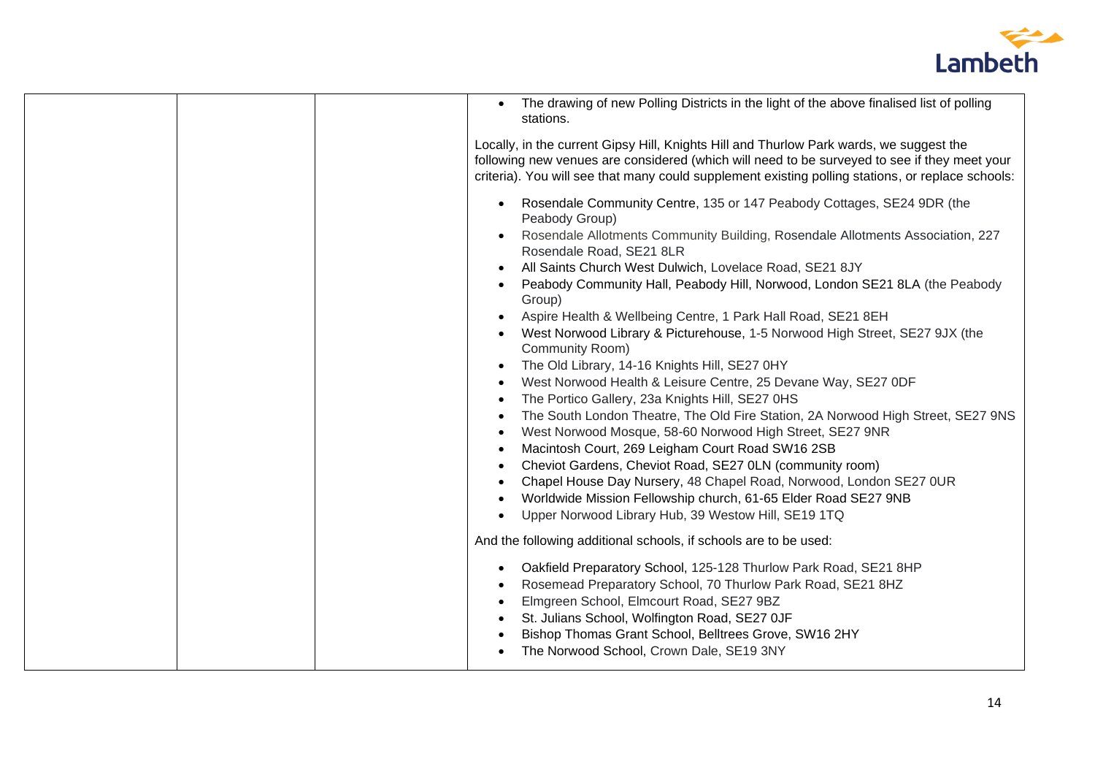

| The drawing of new Polling Districts in the light of the above finalised list of polling<br>stations. |
|-------------------------------------------------------------------------------------------------------|
| Locally, in the current Gipsy Hill, Knights Hill and Thurlow Park wards, we suggest the               |
| following new venues are considered (which will need to be surveyed to see if they meet your          |
| criteria). You will see that many could supplement existing polling stations, or replace schools:     |
|                                                                                                       |
| Rosendale Community Centre, 135 or 147 Peabody Cottages, SE24 9DR (the<br>$\bullet$<br>Peabody Group) |
| Rosendale Allotments Community Building, Rosendale Allotments Association, 227                        |
| Rosendale Road, SE21 8LR                                                                              |
| All Saints Church West Dulwich, Lovelace Road, SE21 8JY                                               |
| Peabody Community Hall, Peabody Hill, Norwood, London SE21 8LA (the Peabody<br>Group)                 |
| Aspire Health & Wellbeing Centre, 1 Park Hall Road, SE21 8EH                                          |
| West Norwood Library & Picturehouse, 1-5 Norwood High Street, SE27 9JX (the                           |
| Community Room)                                                                                       |
| The Old Library, 14-16 Knights Hill, SE27 0HY<br>$\bullet$                                            |
| West Norwood Health & Leisure Centre, 25 Devane Way, SE27 0DF                                         |
| The Portico Gallery, 23a Knights Hill, SE27 0HS                                                       |
| The South London Theatre, The Old Fire Station, 2A Norwood High Street, SE27 9NS                      |
| West Norwood Mosque, 58-60 Norwood High Street, SE27 9NR                                              |
| Macintosh Court, 269 Leigham Court Road SW16 2SB                                                      |
| Cheviot Gardens, Cheviot Road, SE27 0LN (community room)<br>$\bullet$                                 |
| Chapel House Day Nursery, 48 Chapel Road, Norwood, London SE27 0UR<br>$\bullet$                       |
| Worldwide Mission Fellowship church, 61-65 Elder Road SE27 9NB                                        |
|                                                                                                       |
| Upper Norwood Library Hub, 39 Westow Hill, SE19 1TQ                                                   |
| And the following additional schools, if schools are to be used:                                      |
| Oakfield Preparatory School, 125-128 Thurlow Park Road, SE21 8HP<br>$\bullet$                         |
| Rosemead Preparatory School, 70 Thurlow Park Road, SE21 8HZ                                           |
| Elmgreen School, Elmcourt Road, SE27 9BZ                                                              |
| St. Julians School, Wolfington Road, SE27 OJF                                                         |
| Bishop Thomas Grant School, Belltrees Grove, SW16 2HY                                                 |
| The Norwood School, Crown Dale, SE19 3NY                                                              |
|                                                                                                       |